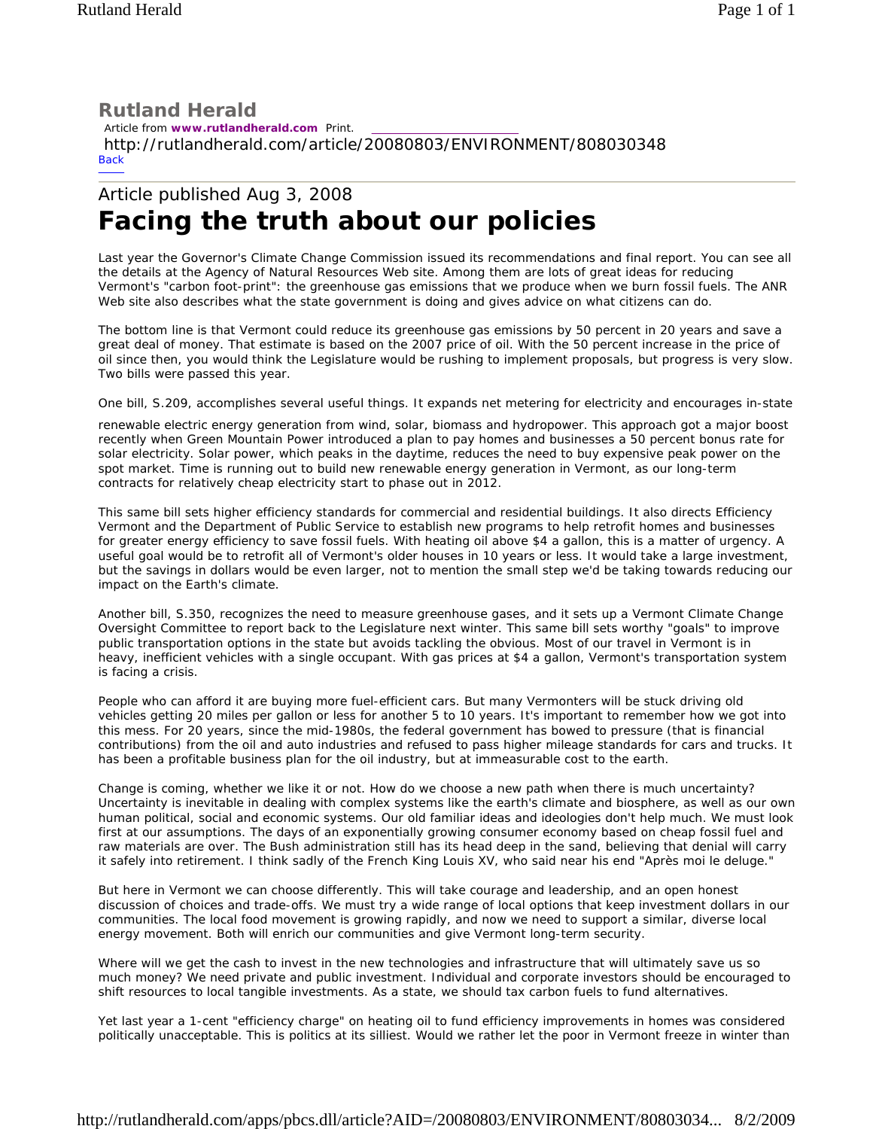## **Rutland Herald**

 Article from **www.rutlandherald.com** Print. http://rutlandherald.com/article/20080803/ENVIRONMENT/808030348 **Back** 

## Article published Aug 3, 2008 **Facing the truth about our policies**

Last year the Governor's Climate Change Commission issued its recommendations and final report. You can see all the details at the Agency of Natural Resources Web site. Among them are lots of great ideas for reducing Vermont's "carbon foot-print": the greenhouse gas emissions that we produce when we burn fossil fuels. The ANR Web site also describes what the state government is doing and gives advice on what citizens can do.

The bottom line is that Vermont could reduce its greenhouse gas emissions by 50 percent in 20 years and save a great deal of money. That estimate is based on the 2007 price of oil. With the 50 percent increase in the price of oil since then, you would think the Legislature would be rushing to implement proposals, but progress is very slow. Two bills were passed this year.

One bill, S.209, accomplishes several useful things. It expands net metering for electricity and encourages in-state

renewable electric energy generation from wind, solar, biomass and hydropower. This approach got a major boost recently when Green Mountain Power introduced a plan to pay homes and businesses a 50 percent bonus rate for solar electricity. Solar power, which peaks in the daytime, reduces the need to buy expensive peak power on the spot market. Time is running out to build new renewable energy generation in Vermont, as our long-term contracts for relatively cheap electricity start to phase out in 2012.

This same bill sets higher efficiency standards for commercial and residential buildings. It also directs Efficiency Vermont and the Department of Public Service to establish new programs to help retrofit homes and businesses for greater energy efficiency to save fossil fuels. With heating oil above \$4 a gallon, this is a matter of urgency. A useful goal would be to retrofit all of Vermont's older houses in 10 years or less. It would take a large investment, but the savings in dollars would be even larger, not to mention the small step we'd be taking towards reducing our impact on the Earth's climate.

Another bill, S.350, recognizes the need to measure greenhouse gases, and it sets up a Vermont Climate Change Oversight Committee to report back to the Legislature next winter. This same bill sets worthy "goals" to improve public transportation options in the state but avoids tackling the obvious. Most of our travel in Vermont is in heavy, inefficient vehicles with a single occupant. With gas prices at \$4 a gallon, Vermont's transportation system is facing a crisis.

People who can afford it are buying more fuel-efficient cars. But many Vermonters will be stuck driving old vehicles getting 20 miles per gallon or less for another 5 to 10 years. It's important to remember how we got into this mess. For 20 years, since the mid-1980s, the federal government has bowed to pressure (that is financial contributions) from the oil and auto industries and refused to pass higher mileage standards for cars and trucks. It has been a profitable business plan for the oil industry, but at immeasurable cost to the earth.

Change is coming, whether we like it or not. How do we choose a new path when there is much uncertainty? Uncertainty is inevitable in dealing with complex systems like the earth's climate and biosphere, as well as our own human political, social and economic systems. Our old familiar ideas and ideologies don't help much. We must look first at our assumptions. The days of an exponentially growing consumer economy based on cheap fossil fuel and raw materials are over. The Bush administration still has its head deep in the sand, believing that denial will carry it safely into retirement. I think sadly of the French King Louis XV, who said near his end "Après moi le deluge."

But here in Vermont we can choose differently. This will take courage and leadership, and an open honest discussion of choices and trade-offs. We must try a wide range of local options that keep investment dollars in our communities. The local food movement is growing rapidly, and now we need to support a similar, diverse local energy movement. Both will enrich our communities and give Vermont long-term security.

Where will we get the cash to invest in the new technologies and infrastructure that will ultimately save us so much money? We need private and public investment. Individual and corporate investors should be encouraged to shift resources to local tangible investments. As a state, we should tax carbon fuels to fund alternatives.

Yet last year a 1-cent "efficiency charge" on heating oil to fund efficiency improvements in homes was considered politically unacceptable. This is politics at its silliest. Would we rather let the poor in Vermont freeze in winter than